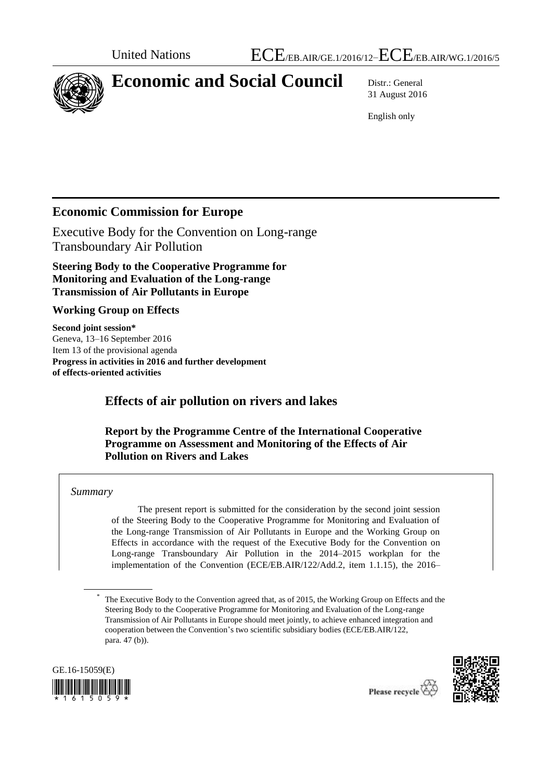

# **Economic and Social Council** Distr.: General

31 August 2016

English only

# **Economic Commission for Europe**

Executive Body for the Convention on Long-range Transboundary Air Pollution

**Steering Body to the Cooperative Programme for Monitoring and Evaluation of the Long-range Transmission of Air Pollutants in Europe**

#### **Working Group on Effects**

**Second joint session\*** Geneva, 13–16 September 2016 Item 13 of the provisional agenda **Progress in activities in 2016 and further development of effects-oriented activities**

# **Effects of air pollution on rivers and lakes**

**Report by the Programme Centre of the International Cooperative Programme on Assessment and Monitoring of the Effects of Air Pollution on Rivers and Lakes**

#### *Summary*

The present report is submitted for the consideration by the second joint session of the Steering Body to the Cooperative Programme for Monitoring and Evaluation of the Long-range Transmission of Air Pollutants in Europe and the Working Group on Effects in accordance with the request of the Executive Body for the Convention on Long-range Transboundary Air Pollution in the 2014–2015 workplan for the implementation of the Convention (ECE/EB.AIR/122/Add.2, item 1.1.15), the 2016–

<sup>\*</sup> The Executive Body to the Convention agreed that, as of 2015, the Working Group on Effects and the Steering Body to the Cooperative Programme for Monitoring and Evaluation of the Long-range Transmission of Air Pollutants in Europe should meet jointly, to achieve enhanced integration and cooperation between the Convention's two scientific subsidiary bodies (ECE/EB.AIR/122, para. 47 (b)).



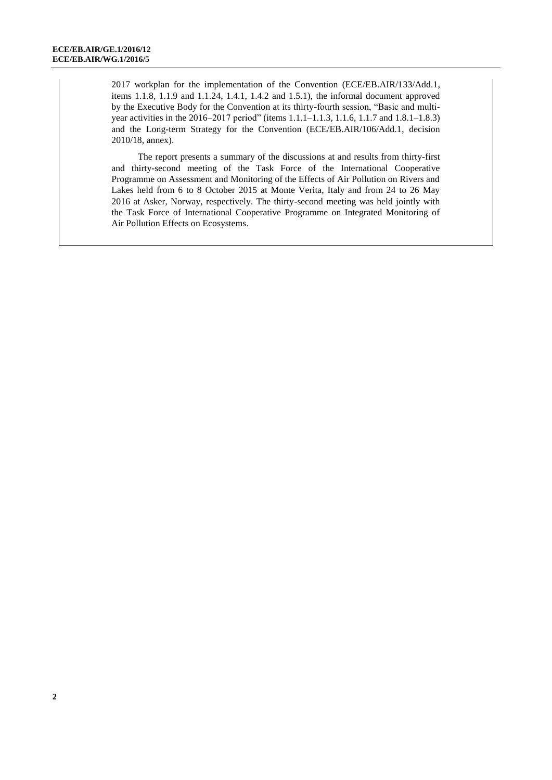2017 workplan for the implementation of the Convention (ECE/EB.AIR/133/Add.1, items 1.1.8, 1.1.9 and 1.1.24, 1.4.1, 1.4.2 and 1.5.1), the informal document approved by the Executive Body for the Convention at its thirty-fourth session, "Basic and multiyear activities in the 2016–2017 period" (items 1.1.1–1.1.3, 1.1.6, 1.1.7 and 1.8.1–1.8.3) and the Long-term Strategy for the Convention (ECE/EB.AIR/106/Add.1, decision 2010/18, annex).

The report presents a summary of the discussions at and results from thirty-first and thirty-second meeting of the Task Force of the International Cooperative Programme on Assessment and Monitoring of the Effects of Air Pollution on Rivers and Lakes held from 6 to 8 October 2015 at Monte Verita, Italy and from 24 to 26 May 2016 at Asker, Norway, respectively. The thirty-second meeting was held jointly with the Task Force of International Cooperative Programme on Integrated Monitoring of Air Pollution Effects on Ecosystems.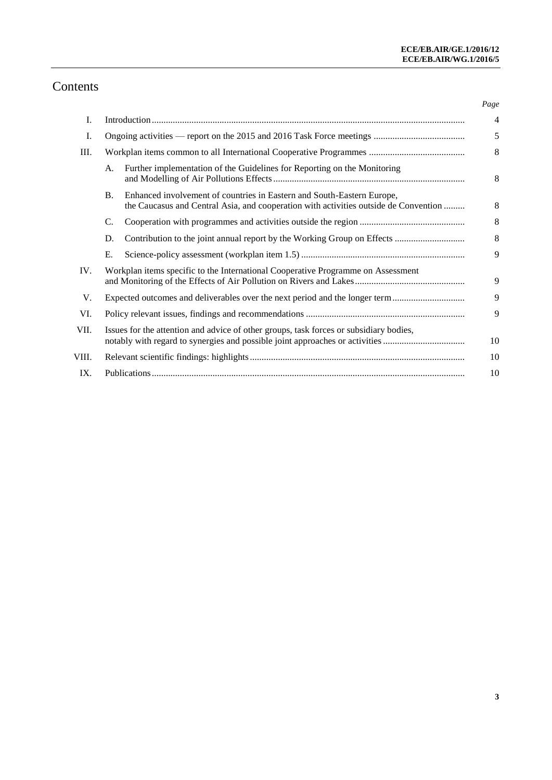# Contents

|       |                                                                                                                                                                        |                                                                                                                                                                | Page           |
|-------|------------------------------------------------------------------------------------------------------------------------------------------------------------------------|----------------------------------------------------------------------------------------------------------------------------------------------------------------|----------------|
| I.    |                                                                                                                                                                        |                                                                                                                                                                | $\overline{4}$ |
| I.    |                                                                                                                                                                        |                                                                                                                                                                | 5              |
| Ш.    |                                                                                                                                                                        |                                                                                                                                                                | 8              |
|       | А.                                                                                                                                                                     | Further implementation of the Guidelines for Reporting on the Monitoring                                                                                       | 8              |
|       | <b>B.</b>                                                                                                                                                              | Enhanced involvement of countries in Eastern and South-Eastern Europe,<br>the Caucasus and Central Asia, and cooperation with activities outside de Convention | 8              |
|       | C.                                                                                                                                                                     |                                                                                                                                                                | 8              |
|       | D.                                                                                                                                                                     |                                                                                                                                                                | 8              |
|       | Ε.                                                                                                                                                                     |                                                                                                                                                                | $\mathbf{Q}$   |
| IV.   | Workplan items specific to the International Cooperative Programme on Assessment                                                                                       |                                                                                                                                                                | 9              |
| V.    | Expected outcomes and deliverables over the next period and the longer term                                                                                            |                                                                                                                                                                | 9              |
| VI.   |                                                                                                                                                                        |                                                                                                                                                                | 9              |
| VII.  | Issues for the attention and advice of other groups, task forces or subsidiary bodies,<br>notably with regard to synergies and possible joint approaches or activities |                                                                                                                                                                | 10             |
| VIII. |                                                                                                                                                                        |                                                                                                                                                                | 10             |
| IX.   |                                                                                                                                                                        |                                                                                                                                                                | 10             |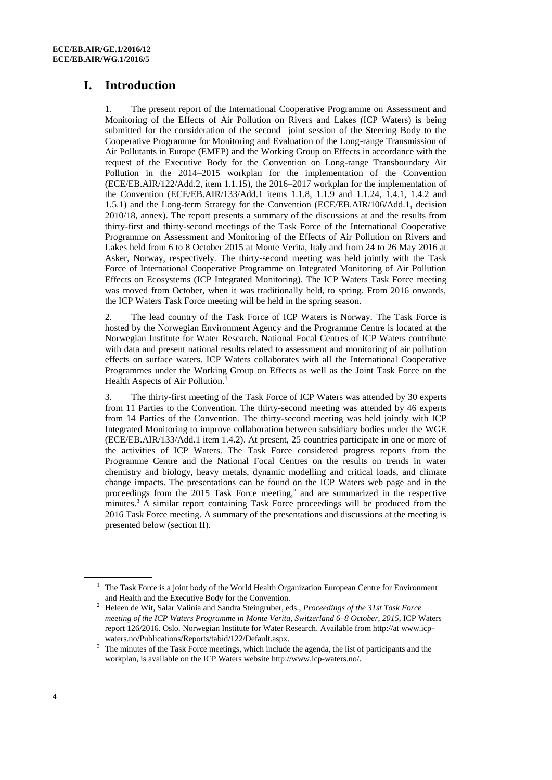# **I. Introduction**

1. The present report of the International Cooperative Programme on Assessment and Monitoring of the Effects of Air Pollution on Rivers and Lakes (ICP Waters) is being submitted for the consideration of the second joint session of the Steering Body to the Cooperative Programme for Monitoring and Evaluation of the Long-range Transmission of Air Pollutants in Europe (EMEP) and the Working Group on Effects in accordance with the request of the Executive Body for the Convention on Long-range Transboundary Air Pollution in the 2014–2015 workplan for the implementation of the Convention (ECE/EB.AIR/122/Add.2, item 1.1.15), the 2016–2017 workplan for the implementation of the Convention (ECE/EB.AIR/133/Add.1 items 1.1.8, 1.1.9 and 1.1.24, 1.4.1, 1.4.2 and 1.5.1) and the Long-term Strategy for the Convention (ECE/EB.AIR/106/Add.1, decision 2010/18, annex). The report presents a summary of the discussions at and the results from thirty-first and thirty-second meetings of the Task Force of the International Cooperative Programme on Assessment and Monitoring of the Effects of Air Pollution on Rivers and Lakes held from 6 to 8 October 2015 at Monte Verita, Italy and from 24 to 26 May 2016 at Asker, Norway, respectively. The thirty-second meeting was held jointly with the Task Force of International Cooperative Programme on Integrated Monitoring of Air Pollution Effects on Ecosystems (ICP Integrated Monitoring). The ICP Waters Task Force meeting was moved from October, when it was traditionally held, to spring. From 2016 onwards, the ICP Waters Task Force meeting will be held in the spring season.

2. The lead country of the Task Force of ICP Waters is Norway. The Task Force is hosted by the Norwegian Environment Agency and the Programme Centre is located at the Norwegian Institute for Water Research. National Focal Centres of ICP Waters contribute with data and present national results related to assessment and monitoring of air pollution effects on surface waters. ICP Waters collaborates with all the International Cooperative Programmes under the Working Group on Effects as well as the Joint Task Force on the Health Aspects of Air Pollution. 1

3. The thirty-first meeting of the Task Force of ICP Waters was attended by 30 experts from 11 Parties to the Convention. The thirty-second meeting was attended by 46 experts from 14 Parties of the Convention. The thirty-second meeting was held jointly with ICP Integrated Monitoring to improve collaboration between subsidiary bodies under the WGE (ECE/EB.AIR/133/Add.1 item 1.4.2). At present, 25 countries participate in one or more of the activities of ICP Waters. The Task Force considered progress reports from the Programme Centre and the National Focal Centres on the results on trends in water chemistry and biology, heavy metals, dynamic modelling and critical loads, and climate change impacts. The presentations can be found on the ICP Waters web page and in the proceedings from the 2015 Task Force meeting, 2 and are summarized in the respective minutes. <sup>3</sup> A similar report containing Task Force proceedings will be produced from the 2016 Task Force meeting. A summary of the presentations and discussions at the meeting is presented below (section II).

 $<sup>1</sup>$  The Task Force is a joint body of the World Health Organization European Centre for Environment</sup> and Health and the Executive Body for the Convention.

<sup>2</sup> Heleen de Wit, Salar Valinia and Sandra Steingruber, eds., *Proceedings of the 31st Task Force meeting of the ICP Waters Programme in Monte Verita, Switzerland 6–8 October, 2015*, ICP Waters report 126/2016. Oslo. Norwegian Institute for Water Research. Available from http://at [www.icp](http://www.icp-waters.no/Publications/Reports/tabid/122/Default.aspx)[waters.no/Publications/Reports/tabid/122/Default.aspx.](http://www.icp-waters.no/Publications/Reports/tabid/122/Default.aspx) 

<sup>&</sup>lt;sup>3</sup> The minutes of the Task Force meetings, which include the agenda, the list of participants and the workplan, is available on the ICP Waters website http:[//www.icp-waters.no/.](http://www.icp-waters.no/)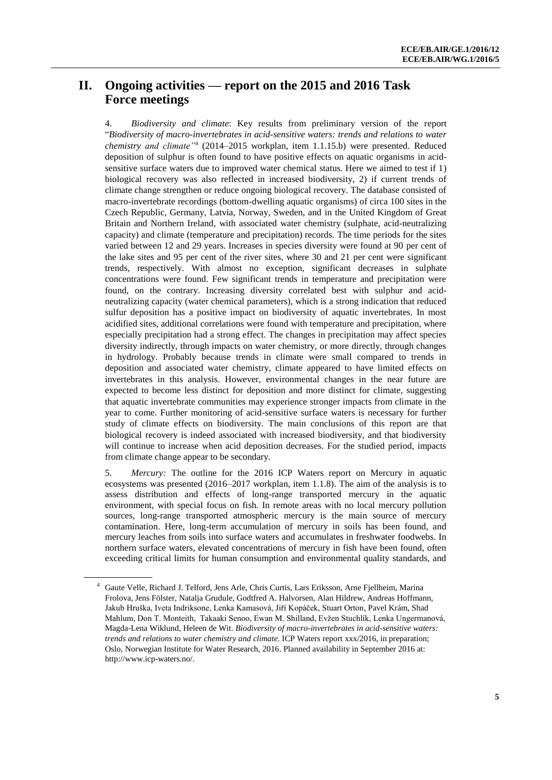### **II. Ongoing activities — report on the 2015 and 2016 Task Force meetings**

4. *Biodiversity and climate*: Key results from preliminary version of the report "*Biodiversity of macro-invertebrates in acid-sensitive waters: trends and relations to water chemistry and climate"*<sup>4</sup> (2014–2015 workplan, item 1.1.15.b) were presented. Reduced deposition of sulphur is often found to have positive effects on aquatic organisms in acidsensitive surface waters due to improved water chemical status. Here we aimed to test if 1) biological recovery was also reflected in increased biodiversity, 2) if current trends of climate change strengthen or reduce ongoing biological recovery. The database consisted of macro-invertebrate recordings (bottom-dwelling aquatic organisms) of circa 100 sites in the Czech Republic, Germany, Latvia, Norway, Sweden, and in the United Kingdom of Great Britain and Northern Ireland, with associated water chemistry (sulphate, acid-neutralizing capacity) and climate (temperature and precipitation) records. The time periods for the sites varied between 12 and 29 years. Increases in species diversity were found at 90 per cent of the lake sites and 95 per cent of the river sites, where 30 and 21 per cent were significant trends, respectively. With almost no exception, significant decreases in sulphate concentrations were found. Few significant trends in temperature and precipitation were found, on the contrary. Increasing diversity correlated best with sulphur and acidneutralizing capacity (water chemical parameters), which is a strong indication that reduced sulfur deposition has a positive impact on biodiversity of aquatic invertebrates. In most acidified sites, additional correlations were found with temperature and precipitation, where especially precipitation had a strong effect. The changes in precipitation may affect species diversity indirectly, through impacts on water chemistry, or more directly, through changes in hydrology. Probably because trends in climate were small compared to trends in deposition and associated water chemistry, climate appeared to have limited effects on invertebrates in this analysis. However, environmental changes in the near future are expected to become less distinct for deposition and more distinct for climate, suggesting that aquatic invertebrate communities may experience stronger impacts from climate in the year to come. Further monitoring of acid-sensitive surface waters is necessary for further study of climate effects on biodiversity. The main conclusions of this report are that biological recovery is indeed associated with increased biodiversity, and that biodiversity will continue to increase when acid deposition decreases. For the studied period, impacts from climate change appear to be secondary.

5. *Mercury:* The outline for the 2016 ICP Waters report on Mercury in aquatic ecosystems was presented (2016–2017 workplan, item 1.1.8). The aim of the analysis is to assess distribution and effects of long-range transported mercury in the aquatic environment, with special focus on fish. In remote areas with no local mercury pollution sources, long-range transported atmospheric mercury is the main source of mercury contamination. Here, long-term accumulation of mercury in soils has been found, and mercury leaches from soils into surface waters and accumulates in freshwater foodwebs. In northern surface waters, elevated concentrations of mercury in fish have been found, often exceeding critical limits for human consumption and environmental quality standards, and

<sup>4</sup> Gaute Velle, Richard J. Telford, Jens Arle, Chris Curtis, Lars Eriksson, Arne Fjellheim, Marina Frolova, Jens Fölster, Natalja Grudule, Godtfred A. Halvorsen, Alan Hildrew, Andreas Hoffmann, Jakub Hruška, Iveta Indriksone, Lenka Kamasová, Jiří Kopáček, Stuart Orton, Pavel Krám, Shad Mahlum, Don T. Monteith, Takaaki Senoo, Ewan M. Shilland, Evžen Stuchlík, Lenka Ungermanová, Magda-Lena Wiklund, Heleen de Wit. *Biodiversity of macro-invertebrates in acid-sensitive waters: trends and relations to water chemistry and climate.* ICP Waters report xxx/2016, in preparation; Oslo, Norwegian Institute for Water Research, 2016. Planned availability in September 2016 at: [http://www.icp-waters.no/.](http://www.icp-waters.no/Publications/tabid/62/Default.aspx)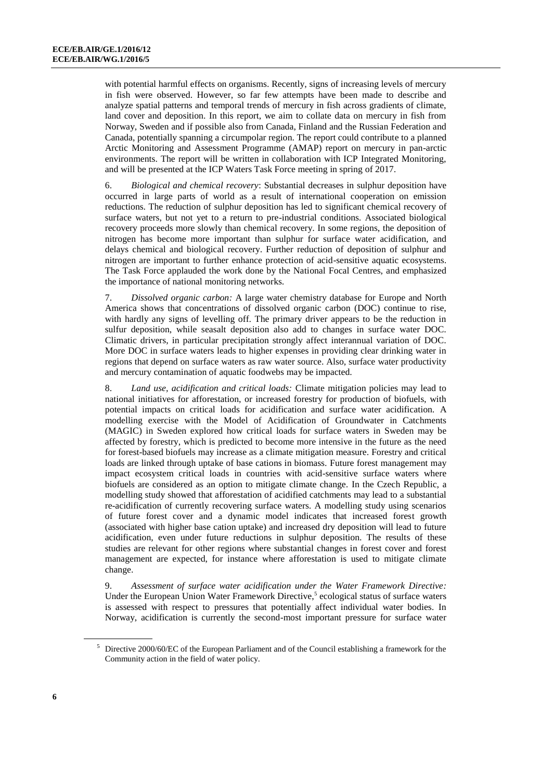with potential harmful effects on organisms. Recently, signs of increasing levels of mercury in fish were observed. However, so far few attempts have been made to describe and analyze spatial patterns and temporal trends of mercury in fish across gradients of climate, land cover and deposition. In this report, we aim to collate data on mercury in fish from Norway, Sweden and if possible also from Canada, Finland and the Russian Federation and Canada, potentially spanning a circumpolar region. The report could contribute to a planned Arctic Monitoring and Assessment Programme (AMAP) report on mercury in pan-arctic environments. The report will be written in collaboration with ICP Integrated Monitoring, and will be presented at the ICP Waters Task Force meeting in spring of 2017.

6. *Biological and chemical recovery*: Substantial decreases in sulphur deposition have occurred in large parts of world as a result of international cooperation on emission reductions. The reduction of sulphur deposition has led to significant chemical recovery of surface waters, but not yet to a return to pre-industrial conditions. Associated biological recovery proceeds more slowly than chemical recovery. In some regions, the deposition of nitrogen has become more important than sulphur for surface water acidification, and delays chemical and biological recovery. Further reduction of deposition of sulphur and nitrogen are important to further enhance protection of acid-sensitive aquatic ecosystems. The Task Force applauded the work done by the National Focal Centres, and emphasized the importance of national monitoring networks.

7. *Dissolved organic carbon:* A large water chemistry database for Europe and North America shows that concentrations of dissolved organic carbon (DOC) continue to rise, with hardly any signs of levelling off. The primary driver appears to be the reduction in sulfur deposition, while seasalt deposition also add to changes in surface water DOC. Climatic drivers, in particular precipitation strongly affect interannual variation of DOC. More DOC in surface waters leads to higher expenses in providing clear drinking water in regions that depend on surface waters as raw water source. Also, surface water productivity and mercury contamination of aquatic foodwebs may be impacted.

8. *Land use, acidification and critical loads:* Climate mitigation policies may lead to national initiatives for afforestation, or increased forestry for production of biofuels, with potential impacts on critical loads for acidification and surface water acidification. A modelling exercise with the Model of Acidification of Groundwater in Catchments (MAGIC) in Sweden explored how critical loads for surface waters in Sweden may be affected by forestry, which is predicted to become more intensive in the future as the need for forest-based biofuels may increase as a climate mitigation measure. Forestry and critical loads are linked through uptake of base cations in biomass. Future forest management may impact ecosystem critical loads in countries with acid-sensitive surface waters where biofuels are considered as an option to mitigate climate change. In the Czech Republic, a modelling study showed that afforestation of acidified catchments may lead to a substantial re-acidification of currently recovering surface waters. A modelling study using scenarios of future forest cover and a dynamic model indicates that increased forest growth (associated with higher base cation uptake) and increased dry deposition will lead to future acidification, even under future reductions in sulphur deposition. The results of these studies are relevant for other regions where substantial changes in forest cover and forest management are expected, for instance where afforestation is used to mitigate climate change.

9. *Assessment of surface water acidification under the Water Framework Directive:* Under the European Union Water Framework Directive,<sup>5</sup> ecological status of surface waters is assessed with respect to pressures that potentially affect individual water bodies. In Norway, acidification is currently the second-most important pressure for surface water

<sup>&</sup>lt;sup>5</sup> Directive 2000/60/EC of the European Parliament and of the Council establishing a framework for the Community action in the field of water policy.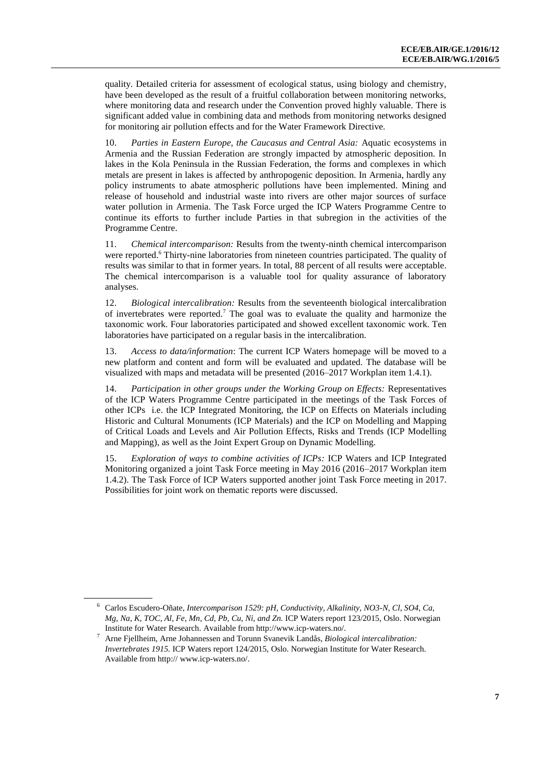quality. Detailed criteria for assessment of ecological status, using biology and chemistry, have been developed as the result of a fruitful collaboration between monitoring networks, where monitoring data and research under the Convention proved highly valuable. There is significant added value in combining data and methods from monitoring networks designed for monitoring air pollution effects and for the Water Framework Directive.

10. *Parties in Eastern Europe, the Caucasus and Central Asia:* Aquatic ecosystems in Armenia and the Russian Federation are strongly impacted by atmospheric deposition. In lakes in the Kola Peninsula in the Russian Federation, the forms and complexes in which metals are present in lakes is affected by anthropogenic deposition. In Armenia, hardly any policy instruments to abate atmospheric pollutions have been implemented. Mining and release of household and industrial waste into rivers are other major sources of surface water pollution in Armenia. The Task Force urged the ICP Waters Programme Centre to continue its efforts to further include Parties in that subregion in the activities of the Programme Centre.

11. *Chemical intercomparison:* Results from the twenty-ninth chemical intercomparison were reported.<sup>6</sup> Thirty-nine laboratories from nineteen countries participated. The quality of results was similar to that in former years. In total, 88 percent of all results were acceptable. The chemical intercomparison is a valuable tool for quality assurance of laboratory analyses.

12. *Biological intercalibration:* Results from the seventeenth biological intercalibration of invertebrates were reported.<sup>7</sup> The goal was to evaluate the quality and harmonize the taxonomic work. Four laboratories participated and showed excellent taxonomic work. Ten laboratories have participated on a regular basis in the intercalibration.

13. *Access to data/information*: The current ICP Waters homepage will be moved to a new platform and content and form will be evaluated and updated. The database will be visualized with maps and metadata will be presented (2016–2017 Workplan item 1.4.1).

14. *Participation in other groups under the Working Group on Effects:* Representatives of the ICP Waters Programme Centre participated in the meetings of the Task Forces of other ICPs i.e. the ICP Integrated Monitoring, the ICP on Effects on Materials including Historic and Cultural Monuments (ICP Materials) and the ICP on Modelling and Mapping of Critical Loads and Levels and Air Pollution Effects, Risks and Trends (ICP Modelling and Mapping), as well as the Joint Expert Group on Dynamic Modelling.

15. *Exploration of ways to combine activities of ICPs:* ICP Waters and ICP Integrated Monitoring organized a joint Task Force meeting in May 2016 (2016–2017 Workplan item 1.4.2). The Task Force of ICP Waters supported another joint Task Force meeting in 2017. Possibilities for joint work on thematic reports were discussed.

<sup>6</sup> Carlos Escudero-Oñate, *Intercomparison 1529: pH, Conductivity, Alkalinity, NO3-N, Cl, SO4, Ca, Mg, Na, K, TOC, Al, Fe, Mn, Cd, Pb, Cu, Ni, and Zn.* ICP Waters report 123/2015*,* Oslo. Norwegian Institute for Water Research. Available from http:/[/www.icp-waters.no/.](http://www.icp-waters.no/)

<sup>7</sup> Arne Fjellheim, Arne Johannessen and Torunn Svanevik Landås, *Biological intercalibration: Invertebrates 1915.* ICP Waters report 124/2015, Oslo. Norwegian Institute for Water Research. Available from http:// [www.icp-waters.no/.](http://www.icp-waters.no/)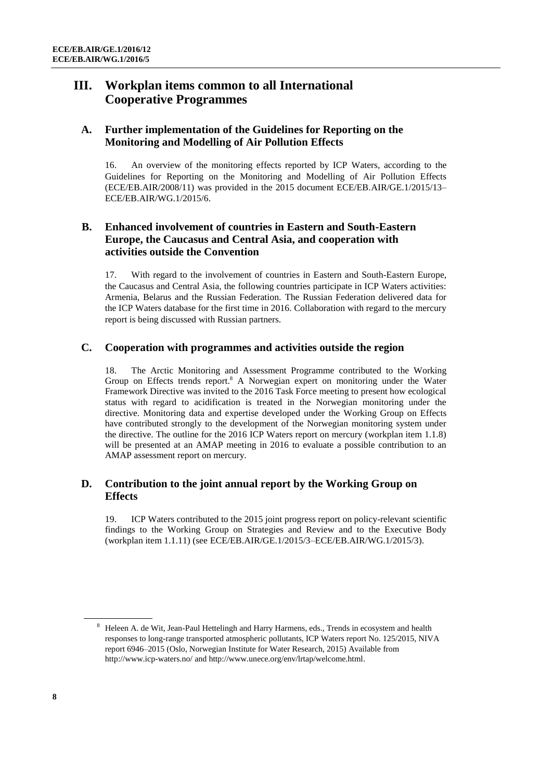### **III. Workplan items common to all International Cooperative Programmes**

#### **A. Further implementation of the Guidelines for Reporting on the Monitoring and Modelling of Air Pollution Effects**

16. An overview of the monitoring effects reported by ICP Waters, according to the Guidelines for Reporting on the Monitoring and Modelling of Air Pollution Effects (ECE/EB.AIR/2008/11) was provided in the 2015 document ECE/EB.AIR/GE.1/2015/13– ECE/EB.AIR/WG.1/2015/6.

#### **B. Enhanced involvement of countries in Eastern and South-Eastern Europe, the Caucasus and Central Asia, and cooperation with activities outside the Convention**

17. With regard to the involvement of countries in Eastern and South-Eastern Europe, the Caucasus and Central Asia, the following countries participate in ICP Waters activities: Armenia, Belarus and the Russian Federation. The Russian Federation delivered data for the ICP Waters database for the first time in 2016. Collaboration with regard to the mercury report is being discussed with Russian partners.

#### **C. Cooperation with programmes and activities outside the region**

18. The Arctic Monitoring and Assessment Programme contributed to the Working Group on Effects trends report.<sup>8</sup> A Norwegian expert on monitoring under the Water Framework Directive was invited to the 2016 Task Force meeting to present how ecological status with regard to acidification is treated in the Norwegian monitoring under the directive. Monitoring data and expertise developed under the Working Group on Effects have contributed strongly to the development of the Norwegian monitoring system under the directive. The outline for the 2016 ICP Waters report on mercury (workplan item 1.1.8) will be presented at an AMAP meeting in 2016 to evaluate a possible contribution to an AMAP assessment report on mercury.

#### **D. Contribution to the joint annual report by the Working Group on Effects**

19. ICP Waters contributed to the 2015 joint progress report on policy-relevant scientific findings to the Working Group on Strategies and Review and to the Executive Body (workplan item 1.1.11) (see ECE/EB.AIR/GE.1/2015/3–ECE/EB.AIR/WG.1/2015/3).

<sup>&</sup>lt;sup>8</sup> Heleen A. de Wit, Jean-Paul Hettelingh and Harry Harmens, eds., Trends in ecosystem and health responses to long-range transported atmospheric pollutants, ICP Waters report No. 125/2015, NIVA report 6946–2015 (Oslo, Norwegian Institute for Water Research, 2015) Available from <http://www.icp-waters.no/> an[d http://www.unece.org/env/lrtap/welcome.html.](http://www.unece.org/env/lrtap/welcome.html)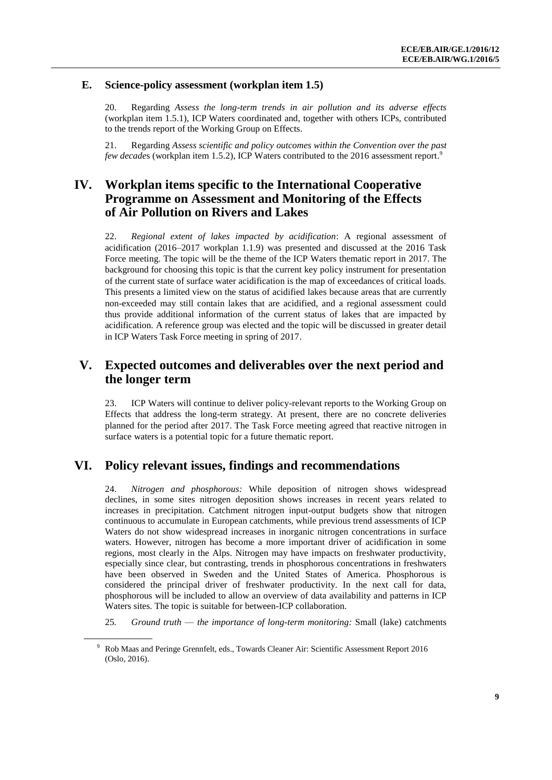#### **E. Science-policy assessment (workplan item 1.5)**

20. Regarding *Assess the long-term trends in air pollution and its adverse effects* (workplan item 1.5.1), ICP Waters coordinated and, together with others ICPs, contributed to the trends report of the Working Group on Effects.

21. Regarding *Assess scientific and policy outcomes within the Convention over the past few decades* (workplan item 1.5.2), ICP Waters contributed to the 2016 assessment report.<sup>9</sup>

### **IV. Workplan items specific to the International Cooperative Programme on Assessment and Monitoring of the Effects of Air Pollution on Rivers and Lakes**

22. *Regional extent of lakes impacted by acidification*: A regional assessment of acidification (2016–2017 workplan 1.1.9) was presented and discussed at the 2016 Task Force meeting. The topic will be the theme of the ICP Waters thematic report in 2017. The background for choosing this topic is that the current key policy instrument for presentation of the current state of surface water acidification is the map of exceedances of critical loads. This presents a limited view on the status of acidified lakes because areas that are currently non-exceeded may still contain lakes that are acidified, and a regional assessment could thus provide additional information of the current status of lakes that are impacted by acidification. A reference group was elected and the topic will be discussed in greater detail in ICP Waters Task Force meeting in spring of 2017.

#### **V. Expected outcomes and deliverables over the next period and the longer term**

23. ICP Waters will continue to deliver policy-relevant reports to the Working Group on Effects that address the long-term strategy. At present, there are no concrete deliveries planned for the period after 2017. The Task Force meeting agreed that reactive nitrogen in surface waters is a potential topic for a future thematic report.

#### **VI. Policy relevant issues, findings and recommendations**

24. *Nitrogen and phosphorous:* While deposition of nitrogen shows widespread declines, in some sites nitrogen deposition shows increases in recent years related to increases in precipitation. Catchment nitrogen input-output budgets show that nitrogen continuous to accumulate in European catchments, while previous trend assessments of ICP Waters do not show widespread increases in inorganic nitrogen concentrations in surface waters. However, nitrogen has become a more important driver of acidification in some regions, most clearly in the Alps. Nitrogen may have impacts on freshwater productivity, especially since clear, but contrasting, trends in phosphorous concentrations in freshwaters have been observed in Sweden and the United States of America. Phosphorous is considered the principal driver of freshwater productivity. In the next call for data, phosphorous will be included to allow an overview of data availability and patterns in ICP Waters sites. The topic is suitable for between-ICP collaboration.

25*. Ground truth* — *the importance of long-term monitoring:* Small (lake) catchments

<sup>9</sup> Rob Maas and Peringe Grennfelt, eds., Towards Cleaner Air: Scientific Assessment Report 2016 (Oslo, 2016).